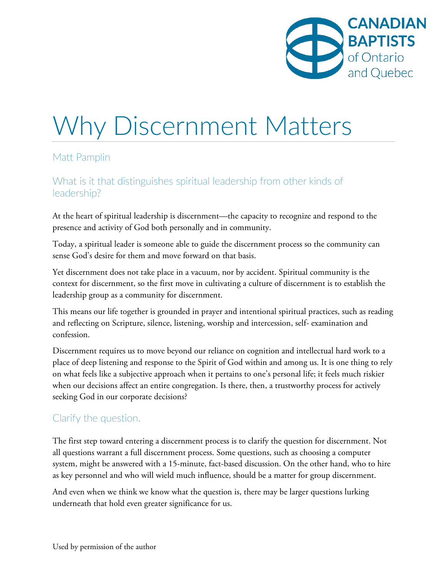

# Why Discernment Matters

#### Matt Pamplin

## What is it that distinguishes spiritual leadership from other kinds of leadership?

At the heart of spiritual leadership is discernment—the capacity to recognize and respond to the presence and activity of God both personally and in community.

Today, a spiritual leader is someone able to guide the discernment process so the community can sense God's desire for them and move forward on that basis.

Yet discernment does not take place in a vacuum, nor by accident. Spiritual community is the context for discernment, so the first move in cultivating a culture of discernment is to establish the leadership group as a community for discernment.

This means our life together is grounded in prayer and intentional spiritual practices, such as reading and reflecting on Scripture, silence, listening, worship and intercession, self- examination and confession.

Discernment requires us to move beyond our reliance on cognition and intellectual hard work to a place of deep listening and response to the Spirit of God within and among us. It is one thing to rely on what feels like a subjective approach when it pertains to one's personal life; it feels much riskier when our decisions affect an entire congregation. Is there, then, a trustworthy process for actively seeking God in our corporate decisions?

#### Clarify the question.

The first step toward entering a discernment process is to clarify the question for discernment. Not all questions warrant a full discernment process. Some questions, such as choosing a computer system, might be answered with a 15-minute, fact-based discussion. On the other hand, who to hire as key personnel and who will wield much influence, should be a matter for group discernment.

And even when we think we know what the question is, there may be larger questions lurking underneath that hold even greater significance for us.